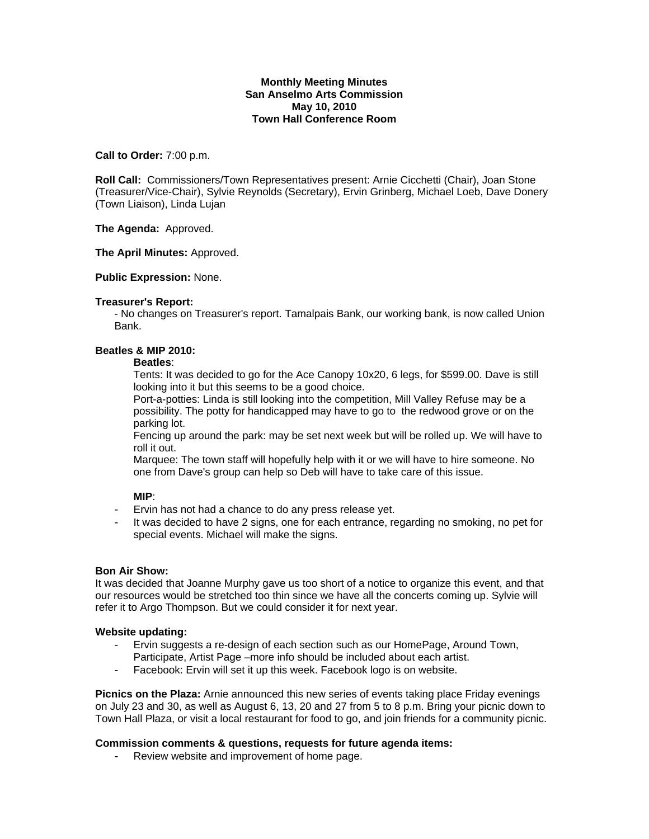# **Monthly Meeting Minutes San Anselmo Arts Commission May 10, 2010 Town Hall Conference Room**

### **Call to Order:** 7:00 p.m.

**Roll Call:** Commissioners/Town Representatives present: Arnie Cicchetti (Chair), Joan Stone (Treasurer/Vice-Chair), Sylvie Reynolds (Secretary), Ervin Grinberg, Michael Loeb, Dave Donery (Town Liaison), Linda Lujan

**The Agenda:** Approved.

### **The April Minutes:** Approved.

### **Public Expression:** None.

### **Treasurer's Report:**

- No changes on Treasurer's report. Tamalpais Bank, our working bank, is now called Union Bank.

# **Beatles & MIP 2010:**

#### **Beatles**:

Tents: It was decided to go for the Ace Canopy 10x20, 6 legs, for \$599.00. Dave is still looking into it but this seems to be a good choice.

Port-a-potties: Linda is still looking into the competition, Mill Valley Refuse may be a possibility. The potty for handicapped may have to go to the redwood grove or on the parking lot.

Fencing up around the park: may be set next week but will be rolled up. We will have to roll it out.

Marquee: The town staff will hopefully help with it or we will have to hire someone. No one from Dave's group can help so Deb will have to take care of this issue.

# **MIP**:

- Ervin has not had a chance to do any press release yet.
- It was decided to have 2 signs, one for each entrance, regarding no smoking, no pet for special events. Michael will make the signs.

# **Bon Air Show:**

It was decided that Joanne Murphy gave us too short of a notice to organize this event, and that our resources would be stretched too thin since we have all the concerts coming up. Sylvie will refer it to Argo Thompson. But we could consider it for next year.

#### **Website updating:**

- Ervin suggests a re-design of each section such as our HomePage, Around Town, Participate, Artist Page –more info should be included about each artist.
- Facebook: Ervin will set it up this week. Facebook logo is on website.

**Picnics on the Plaza:** Arnie announced this new series of events taking place Friday evenings on July 23 and 30, as well as August 6, 13, 20 and 27 from 5 to 8 p.m. Bring your picnic down to Town Hall Plaza, or visit a local restaurant for food to go, and join friends for a community picnic.

# **Commission comments & questions, requests for future agenda items:**

- Review website and improvement of home page.